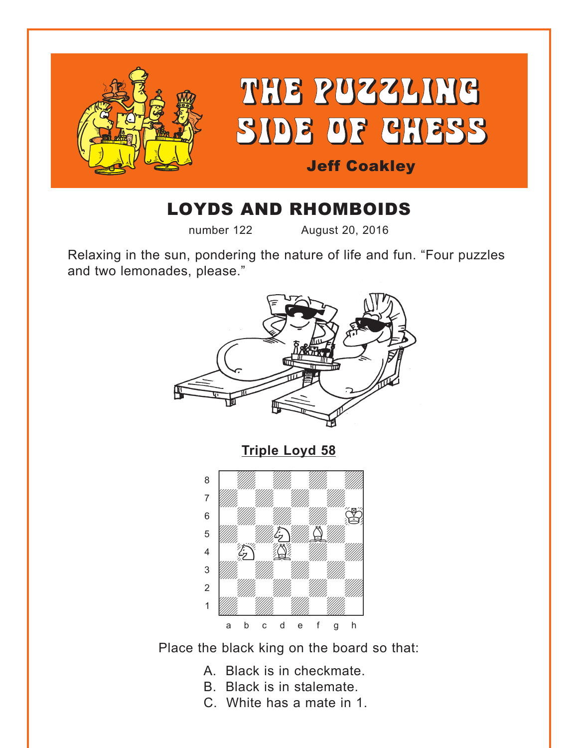<span id="page-0-0"></span>

# LOYDS AND RHOMBOIDS

number 122 August 20, 2016

Relaxing in the sun, pondering the nature of life and fun. "Four puzzles and two lemonades, please."



Place the black king on the board so that:

- A. Black is in checkmate.
- B. Black is in stalemate.
- C. White has a mate in 1.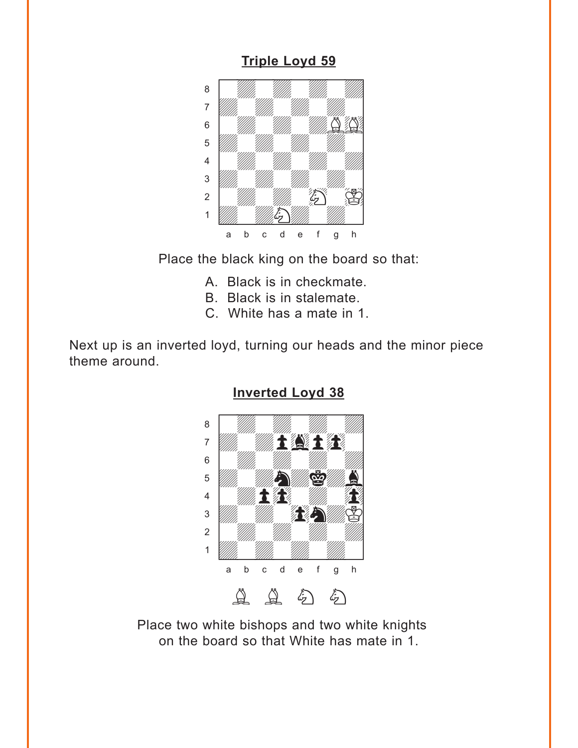#### **[Triple Loyd 59](#page-3-0)**

<span id="page-1-0"></span>

Place the black king on the board so that:

- A. Black is in checkmate.
- B. Black is in stalemate.
- C. White has a mate in 1.

Next up is an inverted loyd, turning our heads and the minor piece theme around.



**[Inverted Loyd 38](#page-4-0)**

Place two white bishops and two white knights on the board so that White has mate in 1.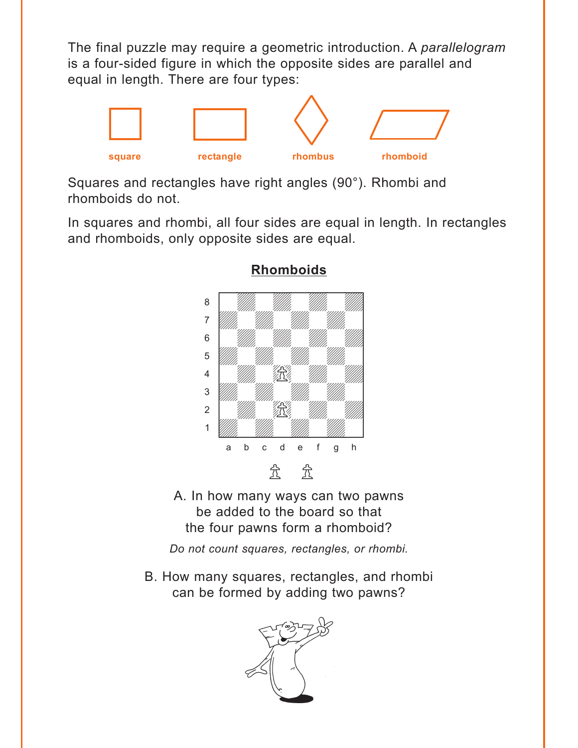<span id="page-2-0"></span>The final puzzle may require a geometric introduction. A *parallelogram* is a four-sided figure in which the opposite sides are parallel and equal in length. There are four types:



Squares and rectangles have right angles (90°). Rhombi and rhomboids do not.

In squares and rhombi, all four sides are equal in length. In rectangles and rhomboids, only opposite sides are equal.



**[Rhomboids](#page-4-0)**

A. In how many ways can two pawns be added to the board so that the four pawns form a rhomboid?

*Do not count squares, rectangles, or rhombi.*

B. How many squares, rectangles, and rhombi can be formed by adding two pawns?

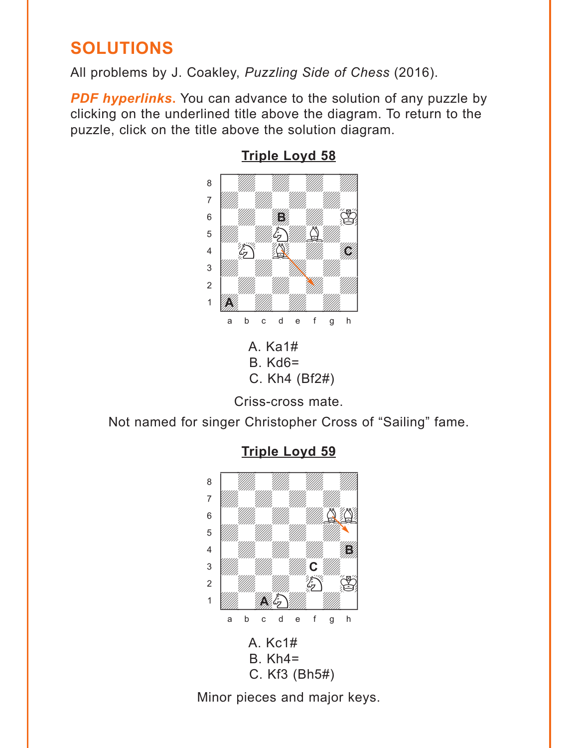# <span id="page-3-0"></span>**SOLUTIONS**

All problems by J. Coakley, *Puzzling Side of Chess* (2016).

**PDF hyperlinks.** You can advance to the solution of any puzzle by clicking on the underlined title above the diagram. To return to the puzzle, click on the title above the solution diagram.



#### **[Triple Loyd 58](#page-0-0)**

C. Kh4 (Bf2#)

Criss-cross mate.

Not named for singer Christopher Cross of "Sailing" fame.



## **[Triple Loyd 59](#page-1-0)**

Minor pieces and major keys.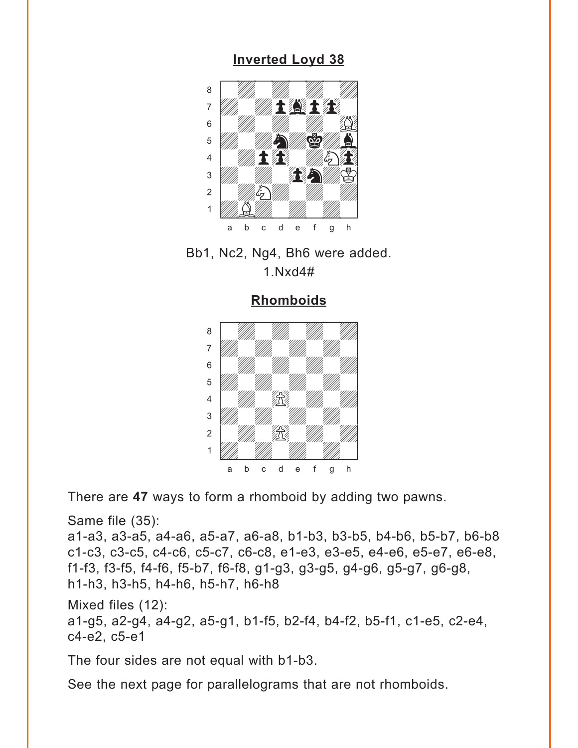## **[Inverted Loyd 38](#page-1-0)**

<span id="page-4-0"></span>



**[Rhomboids](#page-2-0)**

with the set of the set of  $\overline{\mathcal{M}}$  , we have the set of the set of the set of the set of the set of the set of the set of the set of the set of the set of the set of the set of the set of the set of the set of the set a Milliam Milliam Milliam Milliam Milliam Milliam Milliam Milliam Milliam Milliam Milliam Milliam Milliam Mill adwadwadwadwadwadwadwadwadwadwadwadwa ßwdwdwdwd] 5 *VIII. VIII. VIII.* 4 | *William Web, William William 1* 3 *William William William William William William William William William William William William William William W*  $\sim$  1  $\sim$  100  $\sim$  100  $\sim$  100  $\sim$ 1 *Udwarddwrain ym y ym y gyda*d y cyfeiriad yn y gyda y gyda y gyda y gyda y gyda y gyda y gyda y gyda y gyda y<br>Trwy y gyda y gyda y gyda y gyda y gyda y gyda y gyda y gyda y gyda y gyda y gyda y gyda y gyda y gyda y gyda a b c d e f g h

There are **47** ways to form a rhomboid by adding two pawns.

Same file (35):

a1-a3, a3-a5, a4-a6, a5-a7, a6-a8, b1-b3, b3-b5, b4-b6, b5-b7, b6-b8 c1-c3, c3-c5, c4-c6, c5-c7, c6-c8, e1-e3, e3-e5, e4-e6, e5-e7, e6-e8, f1-f3, f3-f5, f4-f6, f5-b7, f6-f8, g1-g3, g3-g5, g4-g6, g5-g7, g6-g8, h1-h3, h3-h5, h4-h6, h5-h7, h6-h8

Mixed files (12):

a1-g5, a2-g4, a4-g2, a5-g1, b1-f5, b2-f4, b4-f2, b5-f1, c1-e5, c2-e4, c4-e2, c5-e1

The four sides are not equal with b1-b3.

See the next page for parallelograms that are not rhomboids.